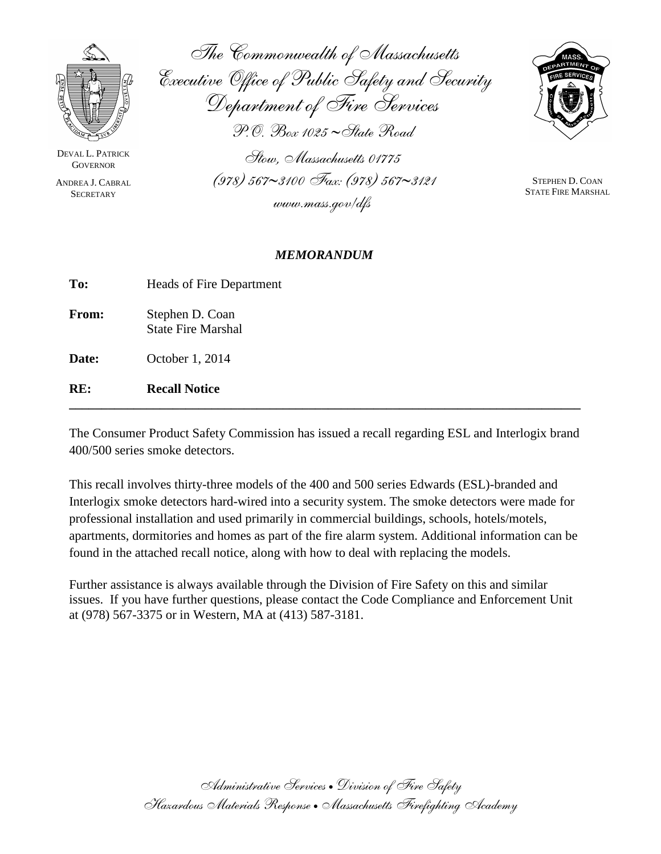

DEVAL L. PATRICK **GOVERNOR** 

ANDREA J. CABRAL **SECRETARY** 

The Commonwealth of Massachusetts Executive Office of Public Safety and Security Department of Fire Services P.O. Box 1025 ∼State Road Stow, Massachusetts 01775



STEPHEN D. COAN STATE FIRE MARSHAL

# *MEMORANDUM*

(978) 567∼3100 Fax: (978) 567∼3121

www.mass.gov/dfs

| RE.   | <b>Recall Notice</b>                         |
|-------|----------------------------------------------|
| Date: | October 1, 2014                              |
| From: | Stephen D. Coan<br><b>State Fire Marshal</b> |
| To:   | Heads of Fire Department                     |

The Consumer Product Safety Commission has issued a recall regarding ESL and Interlogix brand 400/500 series smoke detectors.

**\_\_\_\_\_\_\_\_\_\_\_\_\_\_\_\_\_\_\_\_\_\_\_\_\_\_\_\_\_\_\_\_\_\_\_\_\_\_\_\_\_\_\_\_\_\_\_\_\_\_\_\_\_\_\_\_\_\_\_\_\_\_\_\_\_\_\_\_\_\_\_\_\_\_\_\_\_\_\_**

This recall involves thirty-three models of the 400 and 500 series Edwards (ESL)-branded and Interlogix smoke detectors hard-wired into a security system. The smoke detectors were made for professional installation and used primarily in commercial buildings, schools, hotels/motels, apartments, dormitories and homes as part of the fire alarm system. Additional information can be found in the attached recall notice, along with how to deal with replacing the models.

Further assistance is always available through the Division of Fire Safety on this and similar issues. If you have further questions, please contact the Code Compliance and Enforcement Unit at (978) 567-3375 or in Western, MA at (413) 587-3181.

> Administrative Services • Division of Fire Safety Hazardous Materials Response •Massachusetts Firefighting Academy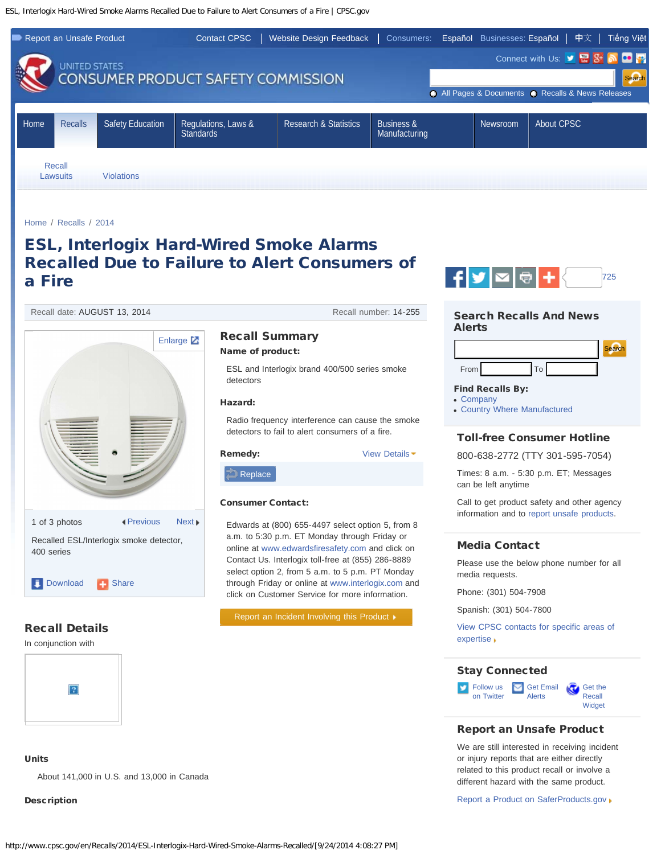<span id="page-1-0"></span>ESL, Interlogix Hard-Wired Smoke Alarms Recalled Due to Failure to Alert Consumers of a Fire | CPSC.gov



ESL and Interlogix brand 400/500 series smoke

Radio frequency interference can cause the smoke detectors to fail to alert consumers of a fire.

Edwards at (800) 655-4497 select option 5, from 8 a.m. to 5:30 p.m. ET Monday through Friday or online at [www.edwardsfiresafety.com](http://www.edwardsfiresafety.com/) and click on Contact Us. Interlogix toll-free at (855) 286-8889 select option 2, from 5 a.m. to 5 p.m. PT Monday through Friday or online at [www.interlogix.com](http://www.interlogix.com/) and click on Customer Service for more information.

[Report an Incident Involving this Product](https://www.saferproducts.gov/CPSRMSPublic/Incidents/ReportIncident.aspx)  $\blacktriangleright$ 

[Home](http://www.cpsc.gov/en/) / [Recalls](http://www.cpsc.gov/en/Recalls/) / [2014](http://www.cpsc.gov/en/Recalls/2014/)

# ESL, Interlogix Hard-Wired Smoke Alarms Recalled Due to Failure to Alert Consumers of a Fire

detectors

 $\Box$  [Replace](#page-2-0)

Recall date: AUGUST 13, 2014 **Recall number: 14-255** Recall number: 14-255



# Recall Details

In conjunction with



# Units

About 141,000 in U.S. and 13,000 in Canada

# Description



# Search Recalls And News Alerts



## Find Recalls By:

- [Company](http://www.cpsc.gov/cgi-bin/epi/epifirm.aspx)
- [Country Where Manufactured](http://www.cpsc.gov/cgi-bin/epi/epicmfg.aspx)

## Toll-free Consumer Hotline

800-638-2772 (TTY 301-595-7054)

Times: 8 a.m. - 5:30 p.m. ET; Messages can be left anytime

Call to get product safety and other agency information and to [report unsafe products.](https://origin.www.saferproducts.gov/)

# Media Contact

Please use the below phone number for all media requests.

Phone: (301) 504-7908

Spanish: (301) 504-7800

[View CPSC contacts for specific areas of](http://www.cpsc.gov/en/About-CPSC/Contact-Information/Media-Contact/) [expertise](http://www.cpsc.gov/en/About-CPSC/Contact-Information/Media-Contact/)

### Stay Connected



# Report an Unsafe Product

We are still interested in receiving incident or injury reports that are either directly related to this product recall or involve a different hazard with the same product.

[Report a Product on SaferProducts.gov](https://origin.www.saferproducts.gov/)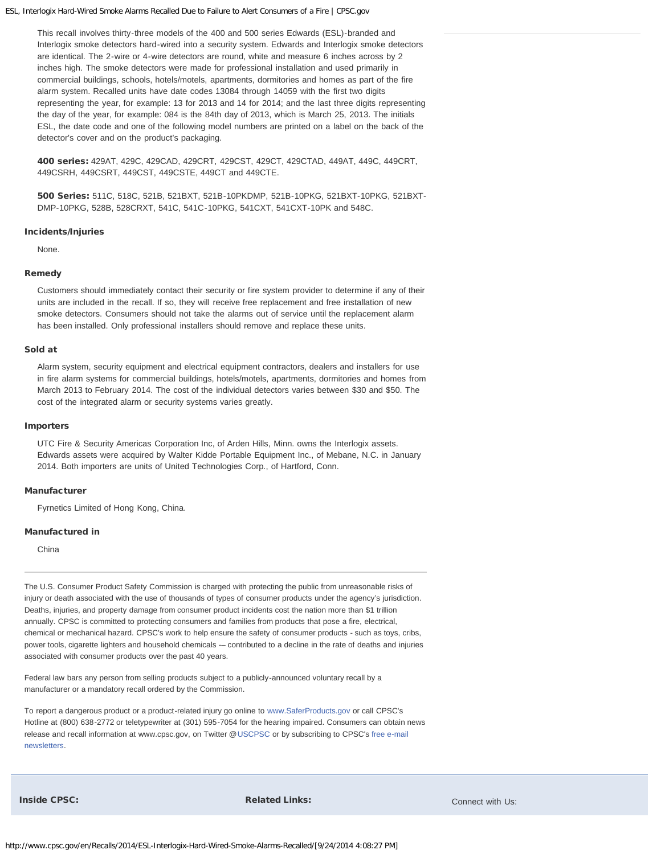#### ESL, Interlogix Hard-Wired Smoke Alarms Recalled Due to Failure to Alert Consumers of a Fire | CPSC.gov

This recall involves thirty-three models of the 400 and 500 series Edwards (ESL)-branded and Interlogix smoke detectors hard-wired into a security system. Edwards and Interlogix smoke detectors are identical. The 2-wire or 4-wire detectors are round, white and measure 6 inches across by 2 inches high. The smoke detectors were made for professional installation and used primarily in commercial buildings, schools, hotels/motels, apartments, dormitories and homes as part of the fire alarm system. Recalled units have date codes 13084 through 14059 with the first two digits representing the year, for example: 13 for 2013 and 14 for 2014; and the last three digits representing the day of the year, for example: 084 is the 84th day of 2013, which is March 25, 2013. The initials ESL, the date code and one of the following model numbers are printed on a label on the back of the detector's cover and on the product's packaging.

400 series: 429AT, 429C, 429CAD, 429CRT, 429CST, 429CT, 429CTAD, 449AT, 449C, 449CRT, 449CSRH, 449CSRT, 449CST, 449CSTE, 449CT and 449CTE.

500 Series: 511C, 518C, 521B, 521BXT, 521B-10PKDMP, 521B-10PKG, 521BXT-10PKG, 521BXT-DMP-10PKG, 528B, 528CRXT, 541C, 541C-10PKG, 541CXT, 541CXT-10PK and 548C.

#### Incidents/Injuries

None.

#### <span id="page-2-0"></span>Remedy

Customers should immediately contact their security or fire system provider to determine if any of their units are included in the recall. If so, they will receive free replacement and free installation of new smoke detectors. Consumers should not take the alarms out of service until the replacement alarm has been installed. Only professional installers should remove and replace these units.

#### Sold at

Alarm system, security equipment and electrical equipment contractors, dealers and installers for use in fire alarm systems for commercial buildings, hotels/motels, apartments, dormitories and homes from March 2013 to February 2014. The cost of the individual detectors varies between \$30 and \$50. The cost of the integrated alarm or security systems varies greatly.

#### Importers

UTC Fire & Security Americas Corporation Inc, of Arden Hills, Minn. owns the Interlogix assets. Edwards assets were acquired by Walter Kidde Portable Equipment Inc., of Mebane, N.C. in January 2014. Both importers are units of United Technologies Corp., of Hartford, Conn.

#### Manufacturer

Fyrnetics Limited of Hong Kong, China.

#### Manufactured in

China

The U.S. Consumer Product Safety Commission is charged with protecting the public from unreasonable risks of injury or death associated with the use of thousands of types of consumer products under the agency's jurisdiction. Deaths, injuries, and property damage from consumer product incidents cost the nation more than \$1 trillion annually. CPSC is committed to protecting consumers and families from products that pose a fire, electrical, chemical or mechanical hazard. CPSC's work to help ensure the safety of consumer products - such as toys, cribs, power tools, cigarette lighters and household chemicals -– contributed to a decline in the rate of deaths and injuries associated with consumer products over the past 40 years.

Federal law bars any person from selling products subject to a publicly-announced voluntary recall by a manufacturer or a mandatory recall ordered by the Commission.

To report a dangerous product or a product-related injury go online to [www.SaferProducts.gov](https://origin.www.saferproducts.gov/) or call CPSC's Hotline at (800) 638-2772 or teletypewriter at (301) 595-7054 for the hearing impaired. Consumers can obtain news release and recall information at www.cpsc.gov, on Twitter @[USCPSC](https://twitter.com/uscpsc) or by subscribing to CPSC's [free e-mail](http://www.cpsc.gov/en/Newsroom/Subscribe/) [newsletters.](http://www.cpsc.gov/en/Newsroom/Subscribe/)

**Inside CPSC:** Connect with Us: Inside CPSC: Inside CPSC: Inside CPSC: Inside CPSC: Install Connect with Us: